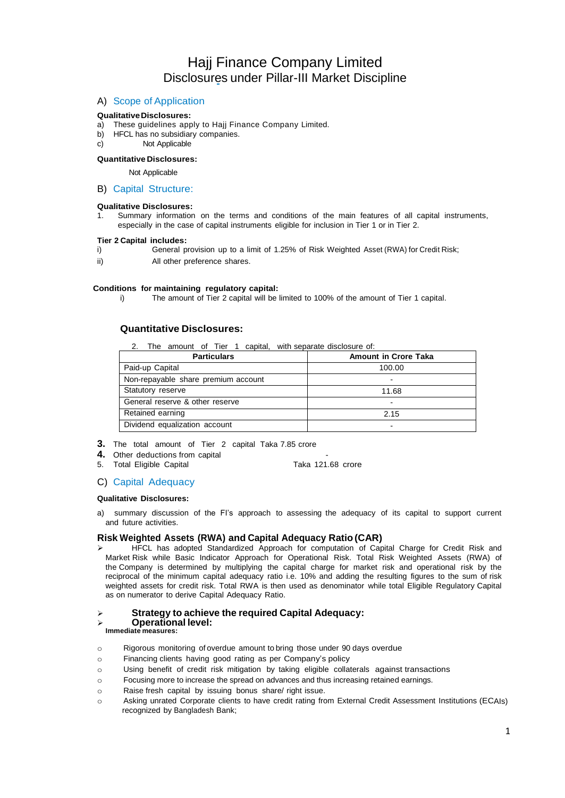# Hajj Finance Company Limited Disclosures under Pillar-III Market Discipline

## A) Scope of Application

## **QualitativeDisclosures:**

- a) These guidelines apply to Hajj Finance Company Limited.
- b) HFCL has no subsidiary companies.
- c) Not Applicable

## **Quantitative Disclosures:**

#### Not Applicable

## B) Capital Structure:

#### **Qualitative Disclosures:**

1. Summary information on the terms and conditions of the main features of all capital instruments, especially in the case of capital instruments eligible for inclusion in Tier 1 or in Tier 2.

#### **Tier 2 Capital includes:**

- i) General provision up to a limit of 1.25% of Risk Weighted Asset (RWA) for Credit Risk;
- ii) All other preference shares.

#### **Conditions for maintaining regulatory capital:**

i) The amount of Tier 2 capital will be limited to 100% of the amount of Tier 1 capital.

## **Quantitative Disclosures:**

2. The amount of Tier 1 capital, with separate disclosure of:

| <b>Particulars</b>                  | <b>Amount in Crore Taka</b> |
|-------------------------------------|-----------------------------|
| Paid-up Capital                     | 100.00                      |
| Non-repayable share premium account |                             |
| Statutory reserve                   | 11.68                       |
| General reserve & other reserve     |                             |
| Retained earning                    | 2.15                        |
| Dividend equalization account       |                             |

- **3.** The total amount of Tier 2 capital Taka 7.85 crore
- 
- **4.** Other deductions from capital **4.** Other deductions from capital **4.** Taka 121.68 crore 5. Total Eligible Capital

#### C) Capital Adequacy

#### **Qualitative Disclosures:**

a) summary discussion of the FI's approach to assessing the adequacy of its capital to support current and future activities.

## **Risk Weighted Assets (RWA) and Capital Adequacy Ratio (CAR)**

 HFCL has adopted Standardized Approach for computation of Capital Charge for Credit Risk and Market Risk while Basic Indicator Approach for Operational Risk. Total Risk Weighted Assets (RWA) of the Company is determined by multiplying the capital charge for market risk and operational risk by the reciprocal of the minimum capital adequacy ratio i.e. 10% and adding the resulting figures to the sum of risk weighted assets for credit risk. Total RWA is then used as denominator while total Eligible Regulatory Capital as on numerator to derive Capital Adequacy Ratio.

## **Strategy to achieve the required Capital Adequacy:**

#### **Operational level: Immediate measures:**

- o Rigorous monitoring of overdue amount to bring those under 90 days overdue
- o Financing clients having good rating as per Company's policy
- o Using benefit of credit risk mitigation by taking eligible collaterals against transactions
- o Focusing more to increase the spread on advances and thus increasing retained earnings.
- o Raise fresh capital by issuing bonus share/ right issue.
- o Asking unrated Corporate clients to have credit rating from External Credit Assessment Institutions (ECAIs) recognized by Bangladesh Bank;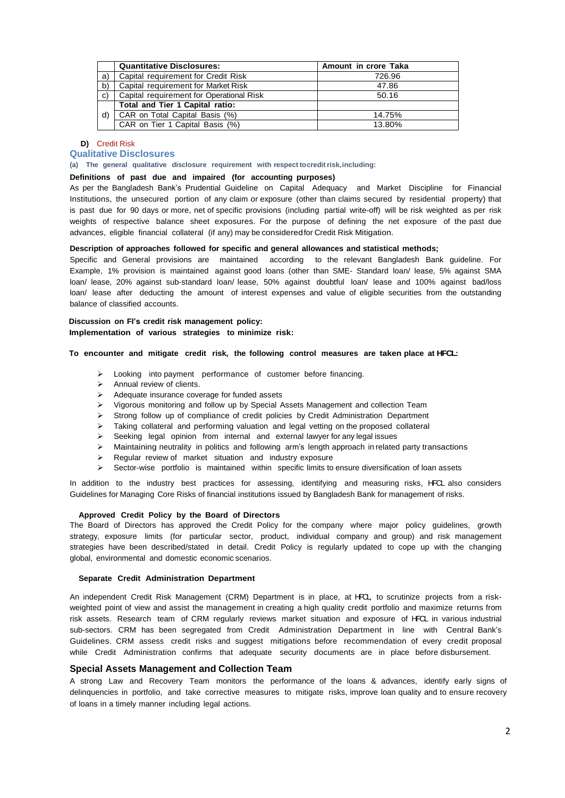|              | <b>Quantitative Disclosures:</b>         | Amount in crore Taka |
|--------------|------------------------------------------|----------------------|
| a)           | Capital requirement for Credit Risk      | 726.96               |
| b)           | Capital requirement for Market Risk      | 47.86                |
| $\mathbf{C}$ | Capital requirement for Operational Risk | 50.16                |
|              | Total and Tier 1 Capital ratio:          |                      |
| d)           | CAR on Total Capital Basis (%)           | 14.75%               |
|              | CAR on Tier 1 Capital Basis (%)          | 13.80%               |

## **D)** Credit Risk

## **Qualitative Disclosures**

**(a) The general qualitative disclosure requirement with respect tocreditrisk,including:**

### **Definitions of past due and impaired (for accounting purposes)**

As per the Bangladesh Bank's Prudential Guideline on Capital Adequacy and Market Discipline for Financial Institutions, the unsecured portion of any claim or exposure (other than claims secured by residential property) that is past due for 90 days or more, net of specific provisions (including partial write-off) will be risk weighted as per risk weights of respective balance sheet exposures. For the purpose of defining the net exposure of the past due advances, eligible financial collateral (if any) may be consideredfor Credit Risk Mitigation.

## **Description of approaches followed for specific and general allowances and statistical methods;**

Specific and General provisions are maintained according to the relevant Bangladesh Bank guideline. For Example, 1% provision is maintained against good loans (other than SME- Standard loan/ lease, 5% against SMA loan/ lease, 20% against sub-standard loan/ lease, 50% against doubtful loan/ lease and 100% against bad/loss loan/ lease after deducting the amount of interest expenses and value of eligible securities from the outstanding balance of classified accounts.

## **Discussion on FI's credit risk management policy: Implementation of various strategies to minimize risk:**

#### **To encounter and mitigate credit risk, the following control measures are taken place at HFCL:**

- > Looking into payment performance of customer before financing.
- $\triangleright$  Annual review of clients.
- $\triangleright$  Adequate insurance coverage for funded assets
- Vigorous monitoring and follow up by Special Assets Management and collection Team
- $\triangleright$  Strong follow up of compliance of credit policies by Credit Administration Department
- $\triangleright$  Taking collateral and performing valuation and legal vetting on the proposed collateral
- $\geq$  Seeking legal opinion from internal and external lawyer for any legal issues
- $\triangleright$  Maintaining neutrality in politics and following arm's length approach in related party transactions
- $\triangleright$  Regular review of market situation and industry exposure
- $\triangleright$  Sector-wise portfolio is maintained within specific limits to ensure diversification of loan assets

In addition to the industry best practices for assessing, identifying and measuring risks, HFCL also considers Guidelines for Managing Core Risks of financial institutions issued by Bangladesh Bank for management of risks.

#### **Approved Credit Policy by the Board of Directors**

The Board of Directors has approved the Credit Policy for the company where major policy guidelines, growth strategy, exposure limits (for particular sector, product, individual company and group) and risk management strategies have been described/stated in detail. Credit Policy is regularly updated to cope up with the changing global, environmental and domestic economic scenarios.

## **Separate Credit Administration Department**

An independent Credit Risk Management (CRM) Department is in place, at HFCL, to scrutinize projects from a riskweighted point of view and assist the management in creating a high quality credit portfolio and maximize returns from risk assets. Research team of CRM regularly reviews market situation and exposure of HFCL in various industrial sub-sectors. CRM has been segregated from Credit Administration Department in line with Central Bank's Guidelines. CRM assess credit risks and suggest mitigations before recommendation of every credit proposal while Credit Administration confirms that adequate security documents are in place before disbursement.

## **Special Assets Management and Collection Team**

A strong Law and Recovery Team monitors the performance of the loans & advances, identify early signs of delinquencies in portfolio, and take corrective measures to mitigate risks, improve loan quality and to ensure recovery of loans in a timely manner including legal actions.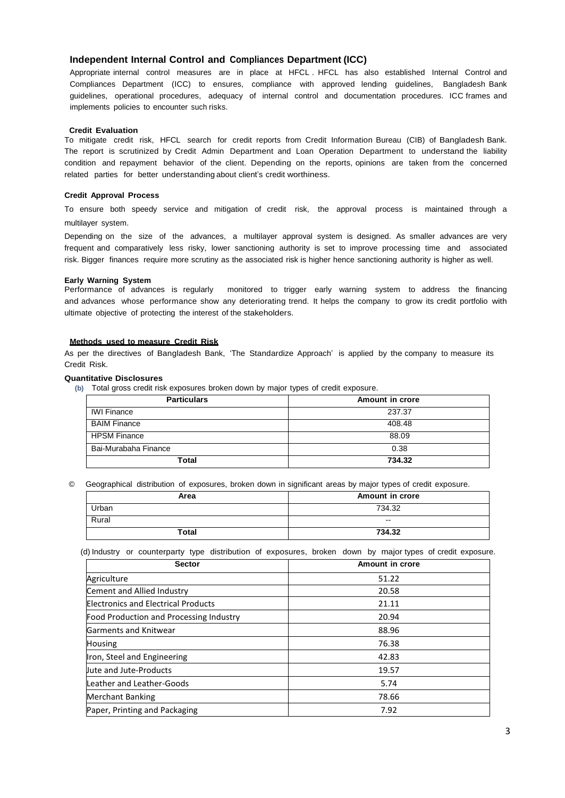## **Independent Internal Control and Compliances Department (ICC)**

Appropriate internal control measures are in place at HFCL . HFCL has also established Internal Control and Compliances Department (ICC) to ensures, compliance with approved lending guidelines, Bangladesh Bank guidelines, operational procedures, adequacy of internal control and documentation procedures. ICC frames and implements policies to encounter such risks.

#### **Credit Evaluation**

To mitigate credit risk, HFCL search for credit reports from Credit Information Bureau (CIB) of Bangladesh Bank. The report is scrutinized by Credit Admin Department and Loan Operation Department to understand the liability condition and repayment behavior of the client. Depending on the reports, opinions are taken from the concerned related parties for better understanding about client's credit worthiness.

## **Credit Approval Process**

To ensure both speedy service and mitigation of credit risk, the approval process is maintained through a multilayer system.

Depending on the size of the advances, a multilayer approval system is designed. As smaller advances are very frequent and comparatively less risky, lower sanctioning authority is set to improve processing time and associated risk. Bigger finances require more scrutiny as the associated risk is higher hence sanctioning authority is higher as well.

### **Early Warning System**

Performance of advances is regularly monitored to trigger early warning system to address the financing and advances whose performance show any deteriorating trend. It helps the company to grow its credit portfolio with ultimate objective of protecting the interest of the stakeholders.

## **Methods used to measure Credit Risk**

As per the directives of Bangladesh Bank, 'The Standardize Approach' is applied by the company to measure its Credit Risk.

### **Quantitative Disclosures**

**(b)** Total gross credit risk exposures broken down by major types of credit exposure.

| <b>Particulars</b>   | Amount in crore |
|----------------------|-----------------|
| <b>IWI Finance</b>   | 237.37          |
| <b>BAIM Finance</b>  | 408.48          |
| <b>HPSM Finance</b>  | 88.09           |
| Bai-Murabaha Finance | 0.38            |
| Total                | 734.32          |

© Geographical distribution of exposures, broken down in significant areas by major types of credit exposure.

| Area  | Amount in crore |
|-------|-----------------|
| Urban | 734.32          |
| Rural | $- -$           |
| Total | 734.32          |

(d) Industry or counterparty type distribution of exposures, broken down by major types of credit exposure.

| <b>Sector</b>                              | Amount in crore |
|--------------------------------------------|-----------------|
| Agriculture                                | 51.22           |
| Cement and Allied Industry                 | 20.58           |
| <b>Electronics and Electrical Products</b> | 21.11           |
| Food Production and Processing Industry    | 20.94           |
| <b>Garments and Knitwear</b>               | 88.96           |
| <b>Housing</b>                             | 76.38           |
| Iron, Steel and Engineering                | 42.83           |
| <b>Uute and Jute-Products</b>              | 19.57           |
| Leather and Leather-Goods                  | 5.74            |
| <b>Merchant Banking</b>                    | 78.66           |
| Paper, Printing and Packaging              | 7.92            |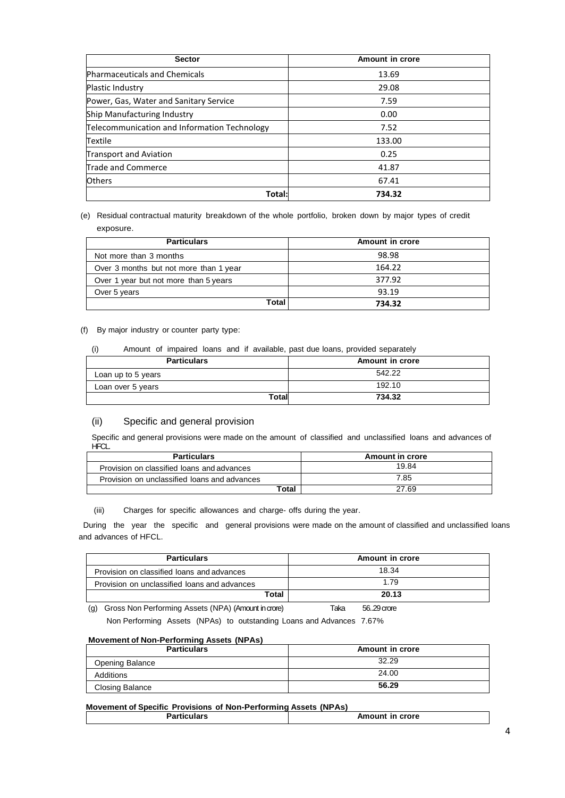| <b>Sector</b>                                | Amount in crore |
|----------------------------------------------|-----------------|
| Pharmaceuticals and Chemicals                | 13.69           |
| Plastic Industry                             | 29.08           |
| Power, Gas, Water and Sanitary Service       | 7.59            |
| Ship Manufacturing Industry                  | 0.00            |
| Telecommunication and Information Technology | 7.52            |
| Textile                                      | 133.00          |
| <b>Transport and Aviation</b>                | 0.25            |
| Trade and Commerce                           | 41.87           |
| <b>Others</b>                                | 67.41           |
| Total:                                       | 734.32          |

## (e) Residual contractual maturity breakdown of the whole portfolio, broken down by major types of credit exposure.

| <b>Particulars</b>                     | Amount in crore |
|----------------------------------------|-----------------|
| Not more than 3 months                 | 98.98           |
| Over 3 months but not more than 1 year | 164.22          |
| Over 1 year but not more than 5 years  | 377.92          |
| Over 5 years                           | 93.19           |
| Total                                  | 734.32          |

## (f) By major industry or counter party type:

## (i) Amount of impaired loans and if available, past due loans, provided separately

| <b>Particulars</b> | Amount in crore |
|--------------------|-----------------|
| Loan up to 5 years | 542.22          |
| Loan over 5 years  | 192.10          |
| <b>Total</b>       | 734.32          |

## (ii) Specific and general provision

Specific and general provisions were made on the amount of classified and unclassified loans and advances of **HFCL.** 

| <b>Particulars</b>                           | <b>Amount in crore</b> |
|----------------------------------------------|------------------------|
| Provision on classified loans and advances   | 19.84                  |
| Provision on unclassified loans and advances | 7.85                   |
| Total                                        | 27.69                  |

## (iii) Charges for specific allowances and charge- offs during the year.

During the year the specific and general provisions were made on the amount of classified and unclassified loans and advances of HFCL.

| <b>Particulars</b>                           | Amount in crore |
|----------------------------------------------|-----------------|
| Provision on classified loans and advances   | 18.34           |
| Provision on unclassified loans and advances | 1.79            |
| Total                                        | 20.13           |

(g) Gross Non Performing Assets (NPA) (Amount incrore) Taka 56..29crore Non Performing Assets (NPAs) to outstanding Loans and Advances 7.67%

## **Movement of Non-Performing Assets (NPAs)**

| <b>Particulars</b>     | Amount in crore |
|------------------------|-----------------|
| <b>Opening Balance</b> | 32.29           |
| Additions              | 24.00           |
| Closing Balance        | 56.29           |

## **Movement of Specific Provisions of Non-Performing Assets (NPAs)**

| o~ | crore         |
|----|---------------|
| .  | <b>\mount</b> |
| -  | ın            |
| .  |               |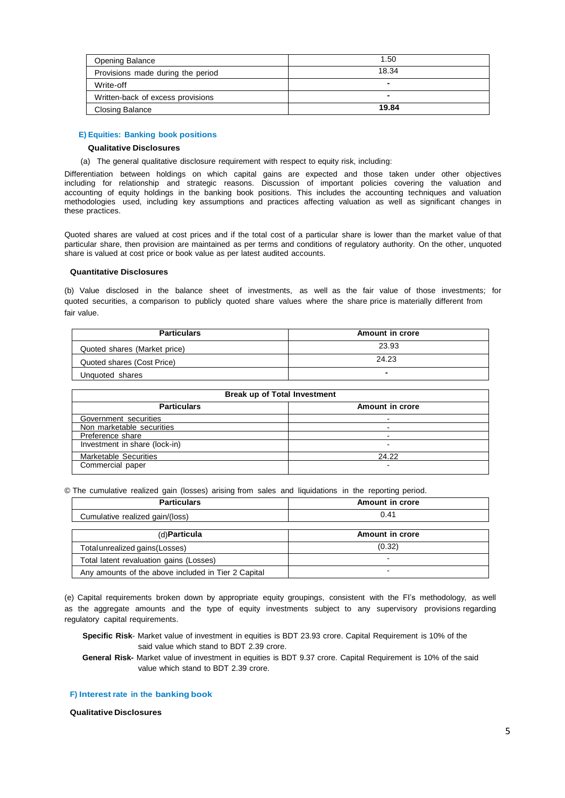| <b>Opening Balance</b>            | 1.50  |
|-----------------------------------|-------|
| Provisions made during the period | 18.34 |
| Write-off                         |       |
| Written-back of excess provisions |       |
| <b>Closing Balance</b>            | 19.84 |

### **E) Equities: Banking book positions**

#### **Qualitative Disclosures**

(a) The general qualitative disclosure requirement with respect to equity risk, including:

Differentiation between holdings on which capital gains are expected and those taken under other objectives including for relationship and strategic reasons. Discussion of important policies covering the valuation and accounting of equity holdings in the banking book positions. This includes the accounting techniques and valuation methodologies used, including key assumptions and practices affecting valuation as well as significant changes in these practices.

Quoted shares are valued at cost prices and if the total cost of a particular share is lower than the market value of that particular share, then provision are maintained as per terms and conditions of regulatory authority. On the other, unquoted share is valued at cost price or book value as per latest audited accounts.

## **Quantitative Disclosures**

(b) Value disclosed in the balance sheet of investments, as well as the fair value of those investments; for quoted securities, a comparison to publicly quoted share values where the share price is materially different from fair value.

| <b>Particulars</b>           | Amount in crore |
|------------------------------|-----------------|
| Quoted shares (Market price) | 23.93           |
| Quoted shares (Cost Price)   | 24.23           |
| Unquoted shares              | -               |

| <b>Break up of Total Investment</b> |                          |  |
|-------------------------------------|--------------------------|--|
| <b>Particulars</b>                  | Amount in crore          |  |
| Government securities               |                          |  |
| Non marketable securities           |                          |  |
| Preference share                    |                          |  |
| Investment in share (lock-in)       |                          |  |
| <b>Marketable Securities</b>        | 24.22                    |  |
| Commercial paper                    | $\overline{\phantom{a}}$ |  |

© The cumulative realized gain (losses) arising from sales and liquidations in the reporting period.

| <b>Particulars</b>                                  | Amount in crore          |
|-----------------------------------------------------|--------------------------|
| Cumulative realized gain/(loss)                     | 0.41                     |
|                                                     |                          |
| (d)Particula                                        | Amount in crore          |
| Total unrealized gains (Losses)                     | (0.32)                   |
| Total latent revaluation gains (Losses)             | -                        |
| Any amounts of the above included in Tier 2 Capital | $\overline{\phantom{0}}$ |

(e) Capital requirements broken down by appropriate equity groupings, consistent with the FI's methodology, as well as the aggregate amounts and the type of equity investments subject to any supervisory provisions regarding regulatory capital requirements.

**Specific Risk**- Market value of investment in equities is BDT 23.93 crore. Capital Requirement is 10% of the said value which stand to BDT 2.39 crore.

**General Risk-** Market value of investment in equities is BDT 9.37 crore. Capital Requirement is 10% of the said value which stand to BDT 2.39 crore.

**F) Interest rate in the banking book**

**Qualitative Disclosures**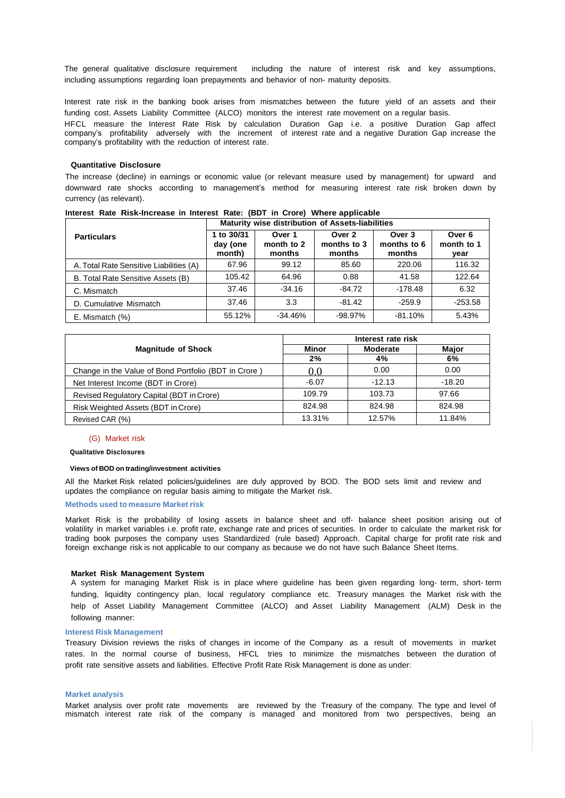The general qualitative disclosure requirement including the nature of interest risk and key assumptions, including assumptions regarding loan prepayments and behavior of non- maturity deposits.

Interest rate risk in the banking book arises from mismatches between the future yield of an assets and their funding cost. Assets Liability Committee (ALCO) monitors the interest rate movement on a regular basis. HFCL measure the Interest Rate Risk by calculation Duration Gap i.e. a positive Duration Gap affect company's profitability adversely with the increment of interest rate and a negative Duration Gap increase the company's profitability with the reduction of interest rate.

#### **Quantitative Disclosure**

The increase (decline) in earnings or economic value (or relevant measure used by management) for upward and downward rate shocks according to management's method for measuring interest rate risk broken down by currency (as relevant).

|                                         | Maturity wise distribution of Assets-liabilities |                                |                                 |                                 |                              |
|-----------------------------------------|--------------------------------------------------|--------------------------------|---------------------------------|---------------------------------|------------------------------|
| <b>Particulars</b>                      | 1 to 30/31<br>day (one<br>month)                 | Over 1<br>month to 2<br>months | Over 2<br>months to 3<br>months | Over 3<br>months to 6<br>months | Over 6<br>month to 1<br>year |
| A. Total Rate Sensitive Liabilities (A) | 67.96                                            | 99.12                          | 85.60                           | 220.06                          | 116.32                       |
| B. Total Rate Sensitive Assets (B)      | 105.42                                           | 64.96                          | 0.88                            | 41.58                           | 122.64                       |
| C. Mismatch                             | 37.46                                            | $-34.16$                       | $-84.72$                        | $-178.48$                       | 6.32                         |
| D. Cumulative Mismatch                  | 37.46                                            | 3.3                            | $-81.42$                        | $-259.9$                        | $-253.58$                    |
| $E.$ Mismatch $(\%)$                    | 55.12%                                           | $-34.46%$                      | $-98.97%$                       | $-81.10%$                       | 5.43%                        |

**Interest Rate Risk-Increase in Interest Rate: (BDT in Crore) Where applicable**

|                                                      | Interest rate risk |          |          |  |
|------------------------------------------------------|--------------------|----------|----------|--|
| <b>Magnitude of Shock</b>                            | Minor              | Moderate | Major    |  |
|                                                      | 2%                 | 4%       | 6%       |  |
| Change in the Value of Bond Portfolio (BDT in Crore) | 0.0                | 0.00     | 0.00     |  |
| Net Interest Income (BDT in Crore)                   | $-6.07$            | $-12.13$ | $-18.20$ |  |
| Revised Regulatory Capital (BDT in Crore)            | 109.79             | 103.73   | 97.66    |  |
| Risk Weighted Assets (BDT in Crore)                  | 824.98             | 824.98   | 824.98   |  |
| Revised CAR (%)                                      | 13.31%             | 12.57%   | 11.84%   |  |

#### (G) Market risk

#### **Qualitative Disclosures**

#### **Views of BOD on trading/investment activities**

All the Market Risk related policies/guidelines are duly approved by BOD. The BOD sets limit and review and updates the compliance on regular basis aiming to mitigate the Market risk.

### **Methods used to measure Market risk**

Market Risk is the probability of losing assets in balance sheet and off- balance sheet position arising out of volatility in market variables i.e. profit rate, exchange rate and prices of securities. In order to calculate the market risk for trading book purposes the company uses Standardized (rule based) Approach. Capital charge for profit rate risk and foreign exchange risk is not applicable to our company as because we do not have such Balance Sheet Items.

#### **Market Risk Management System**

A system for managing Market Risk is in place where guideline has been given regarding long- term, short- term funding, liquidity contingency plan, local regulatory compliance etc. Treasury manages the Market risk with the help of Asset Liability Management Committee (ALCO) and Asset Liability Management (ALM) Desk in the following manner:

#### **Interest Risk Management**

Treasury Division reviews the risks of changes in income of the Company as a result of movements in market rates. In the normal course of business, HFCL tries to minimize the mismatches between the duration of profit rate sensitive assets and liabilities. Effective Profit Rate Risk Management is done as under:

#### **Market analysis**

Market analysis over profit rate movements are reviewed by the Treasury of the company. The type and level of mismatch interest rate risk of the company is managed and monitored from two perspectives, being an